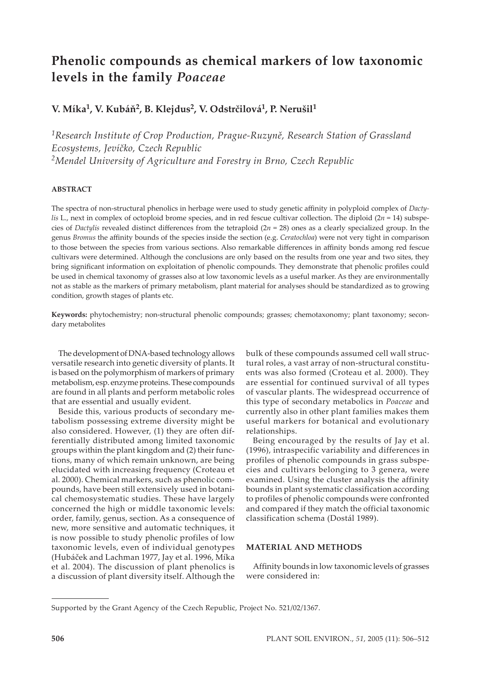# **Phenolic compounds as chemical markers of low taxonomic levels in the family** *Poaceae*

# **V. Míka1, V. Kubáň2, B. Klejdus2, V. Odstrčilová1, P. Nerušil1**

*1Research Institute of Crop Production, Prague-Ruzyně, Research Station of Grassland Ecosystems, Jevíčko, Czech Republic 2Mendel University of Agriculture and Forestry in Brno, Czech Republic*

# **ABSTRACT**

The spectra of non-structural phenolics in herbage were used to study genetic affinity in polyploid complex of *Dactylis* L., next in complex of octoploid brome species, and in red fescue cultivar collection. The diploid  $(2n - 14)$  subspecies of *Dactylis* revealed distinct differences from the tetraploid (2*n* = 28) ones as a clearly specialized group. In the genus *Bromus* the affinity bounds of the species inside the section (e.g. *Ceratochloa*) were not very tight in comparison to those between the species from various sections. Also remarkable differences in affinity bonds among red fescue cultivars were determined. Although the conclusions are only based on the results from one year and two sites, they bring significant information on exploitation of phenolic compounds. They demonstrate that phenolic profiles could be used in chemical taxonomy of grasses also at low taxonomic levels as a useful marker. As they are environmentally not as stable as the markers of primary metabolism, plant material for analyses should be standardized as to growing condition, growth stages of plants etc.

**Keywords:** phytochemistry; non-structural phenolic compounds; grasses; chemotaxonomy; plant taxonomy; secondary metabolites

The development of DNA-based technology allows versatile research into genetic diversity of plants. It is based on the polymorphism of markers of primary metabolism, esp. enzyme proteins. These compounds are found in all plants and perform metabolic roles that are essential and usually evident.

Beside this, various products of secondary metabolism possessing extreme diversity might be also considered. However, (1) they are often differentially distributed among limited taxonomic groups within the plant kingdom and (2) their functions, many of which remain unknown, are being elucidated with increasing frequency (Croteau et al. 2000). Chemical markers, such as phenolic compounds, have been still extensively used in botanical chemosystematic studies. These have largely concerned the high or middle taxonomic levels: order, family, genus, section. As a consequence of new, more sensitive and automatic techniques, it is now possible to study phenolic profiles of low taxonomic levels, even of individual genotypes (Hubáček and Lachman 1977, Jay et al. 1996, Míka et al. 2004). The discussion of plant phenolics is a discussion of plant diversity itself. Although the

bulk of these compounds assumed cell wall structural roles, a vast array of non-structural constituents was also formed (Croteau et al. 2000). They are essential for continued survival of all types of vascular plants. The widespread occurrence of this type of secondary metabolics in *Poaceae* and currently also in other plant families makes them useful markers for botanical and evolutionary relationships.

Being encouraged by the results of Jay et al. (1996), intraspecific variability and differences in profiles of phenolic compounds in grass subspecies and cultivars belonging to 3 genera, were examined. Using the cluster analysis the affinity bounds in plant systematic classification according to profiles of phenolic compounds were confronted and compared if they match the official taxonomic classification schema (Dostál 1989).

## **MATERIAL AND METHODS**

Affinity bounds in low taxonomic levels of grasses were considered in:

Supported by the Grant Agency of the Czech Republic, Project No. 521/02/1367.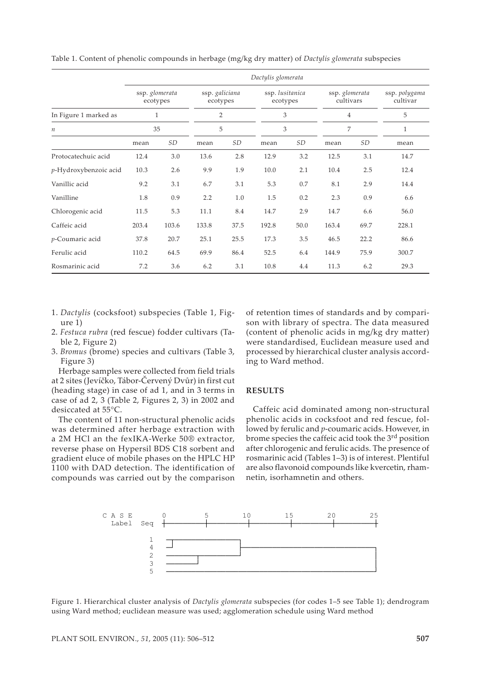|                       | Dactylis glomerata |                            |                            |           |                             |      |                             |      |                           |
|-----------------------|--------------------|----------------------------|----------------------------|-----------|-----------------------------|------|-----------------------------|------|---------------------------|
|                       |                    | ssp. glomerata<br>ecotypes | ssp. galiciana<br>ecotypes |           | ssp. lusitanica<br>ecotypes |      | ssp. glomerata<br>cultivars |      | ssp. polygama<br>cultivar |
| In Figure 1 marked as | $\mathbf{1}$       |                            | $\overline{2}$             |           | 3                           |      | 4                           |      | 5                         |
| $\it n$               |                    | 35                         | 5                          |           | 3                           |      | 7                           |      | 1                         |
|                       | mean               | SD                         | mean                       | <b>SD</b> | mean                        | SD   | mean                        | SD   | mean                      |
| Protocatechuic acid   | 12.4               | 3.0                        | 13.6                       | 2.8       | 12.9                        | 3.2  | 12.5                        | 3.1  | 14.7                      |
| p-Hydroxybenzoic acid | 10.3               | 2.6                        | 9.9                        | 1.9       | 10.0                        | 2.1  | 10.4                        | 2.5  | 12.4                      |
| Vanillic acid         | 9.2                | 3.1                        | 6.7                        | 3.1       | 5.3                         | 0.7  | 8.1                         | 2.9  | 14.4                      |
| Vanilline             | 1.8                | 0.9                        | 2.2                        | 1.0       | 1.5                         | 0.2  | 2.3                         | 0.9  | 6.6                       |
| Chlorogenic acid      | 11.5               | 5.3                        | 11.1                       | 8.4       | 14.7                        | 2.9  | 14.7                        | 6.6  | 56.0                      |
| Caffeic acid          | 203.4              | 103.6                      | 133.8                      | 37.5      | 192.8                       | 50.0 | 163.4                       | 69.7 | 228.1                     |
| p-Coumaric acid       | 37.8               | 20.7                       | 25.1                       | 25.5      | 17.3                        | 3.5  | 46.5                        | 22.2 | 86.6                      |
| Ferulic acid          | 110.2              | 64.5                       | 69.9                       | 86.4      | 52.5                        | 6.4  | 144.9                       | 75.9 | 300.7                     |
| Rosmarinic acid       | 7.2                | 3.6                        | 6.2                        | 3.1       | 10.8                        | 4.4  | 11.3                        | 6.2  | 29.3                      |

Table 1. Content of phenolic compounds in herbage (mg/kg dry matter) of Dactylis glomerata subspecies

- 1. Dactylis (cocksfoot) subspecies (Table 1, Fig $ure 1)$
- 2. Festuca rubra (red fescue) fodder cultivars (Table 2, Figure 2)
- 3. Bromus (brome) species and cultivars (Table 3, Figure 3)

Herbage samples were collected from field trials at 2 sites (Jevíčko, Tábor-Červený Dvůr) in first cut (heading stage) in case of ad 1, and in 3 terms in case of ad 2, 3 (Table 2, Figures 2, 3) in 2002 and desiccated at 55°C.

The content of 11 non-structural phenolic acids was determined after herbage extraction with a 2M HCl an the fexIKA-Werke 50® extractor, reverse phase on Hypersil BDS C18 sorbent and gradient eluce of mobile phases on the HPLC HP 1100 with DAD detection. The identification of compounds was carried out by the comparison

of retention times of standards and by comparison with library of spectra. The data measured (content of phenolic acids in mg/kg dry matter) were standardised, Euclidean measure used and processed by hierarchical cluster analysis according to Ward method.

#### **RESULTS**

Caffeic acid dominated among non-structural phenolic acids in cocksfoot and red fescue, followed by ferulic and p-coumaric acids. However, in brome species the caffeic acid took the 3rd position after chlorogenic and ferulic acids. The presence of rosmarinic acid (Tables 1-3) is of interest. Plentiful are also flavonoid compounds like kvercetin, rhamnetin, isorhamnetin and others.



Figure 1. Hierarchical cluster analysis of Dactylis glomerata subspecies (for codes 1-5 see Table 1); dendrogram using Ward method; euclidean measure was used; agglomeration schedule using Ward method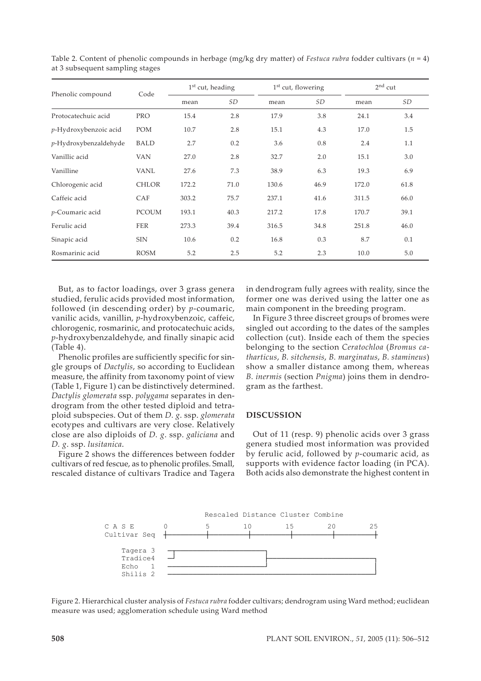| Phenolic compound        | Code         | $1st$ cut, heading |      | $1st$ cut, flowering |      | $2nd$ cut |      |
|--------------------------|--------------|--------------------|------|----------------------|------|-----------|------|
|                          |              | mean               | SD   | mean                 | SD   | mean      | SD   |
| Protocatechuic acid      | PRO          | 15.4               | 2.8  | 17.9                 | 3.8  | 24.1      | 3.4  |
| p-Hydroxybenzoic acid    | POM          | 10.7               | 2.8  | 15.1                 | 4.3  | 17.0      | 1.5  |
| $p$ -Hydroxybenzaldehyde | <b>BALD</b>  | 2.7                | 0.2  | 3.6                  | 0.8  | 2.4       | 1.1  |
| Vanillic acid            | <b>VAN</b>   | 27.0               | 2.8  | 32.7                 | 2.0  | 15.1      | 3.0  |
| Vanilline                | <b>VANL</b>  | 27.6               | 7.3  | 38.9                 | 6.3  | 19.3      | 6.9  |
| Chlorogenic acid         | <b>CHLOR</b> | 172.2              | 71.0 | 130.6                | 46.9 | 172.0     | 61.8 |
| Caffeic acid             | CAF          | 303.2              | 75.7 | 237.1                | 41.6 | 311.5     | 66.0 |
| p-Coumaric acid          | <b>PCOUM</b> | 193.1              | 40.3 | 217.2                | 17.8 | 170.7     | 39.1 |
| Ferulic acid             | FER          | 273.3              | 39.4 | 316.5                | 34.8 | 251.8     | 46.0 |
| Sinapic acid             | <b>SIN</b>   | 10.6               | 0.2  | 16.8                 | 0.3  | 8.7       | 0.1  |
| Rosmarinic acid          | <b>ROSM</b>  | 5.2                | 2.5  | 5.2                  | 2.3  | 10.0      | 5.0  |

Table 2. Content of phenolic compounds in herbage (mg/kg dry matter) of *Festuca rubra* fodder cultivars ( $n = 4$ ) at 3 subsequent sampling stages

But, as to factor loadings, over 3 grass genera studied, ferulic acids provided most information, followed (in descending order) by  $p$ -coumaric, vanilic acids, vanillin, p-hydroxybenzoic, caffeic, chlorogenic, rosmarinic, and protocatechuic acids, *p*-hydroxybenzaldehyde, and finally sinapic acid  $(Table 4).$ 

Phenolic profiles are sufficiently specific for single groups of Dactylis, so according to Euclidean measure, the affinity from taxonomy point of view (Table 1, Figure 1) can be distinctively determined. Dactylis glomerata ssp. polygama separates in dendrogram from the other tested diploid and tetraploid subspecies. Out of them D. g. ssp. glomerata ecotypes and cultivars are very close. Relatively close are also diploids of D. g. ssp. galiciana and D. g. ssp. lusitanica.

Figure 2 shows the differences between fodder cultivars of red fescue, as to phenolic profiles. Small, rescaled distance of cultivars Tradice and Tagera in dendrogram fully agrees with reality, since the former one was derived using the latter one as main component in the breeding program.

In Figure 3 three discreet groups of bromes were singled out according to the dates of the samples collection (cut). Inside each of them the species belonging to the section Ceratochloa (Bromus catharticus, B. sitchensis, B. marginatus, B. stamineus) show a smaller distance among them, whereas B. inermis (section Pnigma) joins them in dendrogram as the farthest.

#### **DISCUSSION**

Out of 11 (resp. 9) phenolic acids over 3 grass genera studied most information was provided by ferulic acid, followed by  $p$ -coumaric acid, as supports with evidence factor loading (in PCA). Both acids also demonstrate the highest content in



Figure 2. Hierarchical cluster analysis of Festuca rubra fodder cultivars; dendrogram using Ward method; euclidean measure was used; agglomeration schedule using Ward method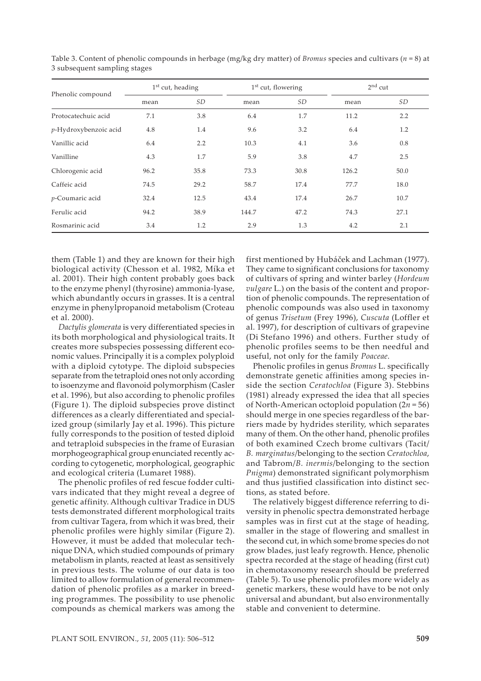|                       | $1st$ cut, heading |      |       | $1st$ cut, flowering | $2nd$ cut |      |
|-----------------------|--------------------|------|-------|----------------------|-----------|------|
| Phenolic compound     | mean               | SD   | mean  | SD                   | mean      | SD   |
| Protocatechuic acid   | 7.1                | 3.8  | 6.4   | 1.7                  | 11.2      | 2.2  |
| p-Hydroxybenzoic acid | 4.8                | 1.4  | 9.6   | 3.2                  | 6.4       | 1.2  |
| Vanillic acid         | 6.4                | 2.2  | 10.3  | 4.1                  | 3.6       | 0.8  |
| Vanilline             | 4.3                | 1.7  | 5.9   | 3.8                  | 4.7       | 2.5  |
| Chlorogenic acid      | 96.2               | 35.8 | 73.3  | 30.8                 | 126.2     | 50.0 |
| Caffeic acid          | 74.5               | 29.2 | 58.7  | 17.4                 | 77.7      | 18.0 |
| p-Coumaric acid       | 32.4               | 12.5 | 43.4  | 17.4                 | 26.7      | 10.7 |
| Ferulic acid          | 94.2               | 38.9 | 144.7 | 47.2                 | 74.3      | 27.1 |
| Rosmarinic acid       | 3.4                | 1.2  | 2.9   | 1.3                  | 4.2       | 2.1  |

Table 3. Content of phenolic compounds in herbage (mg/kg dry matter) of *Bromus* species and cultivars (*n* = 8) at 3 subsequent sampling stages

them (Table 1) and they are known for their high biological activity (Chesson et al. 1982, Míka et al. 2001). Their high content probably goes back to the enzyme phenyl (thyrosine) ammonia-lyase, which abundantly occurs in grasses. It is a central enzyme in phenylpropanoid metabolism (Croteau et al. 2000).

*Dactylis glomerata* is very differentiated species in its both morphological and physiological traits. It creates more subspecies possessing different economic values. Principally it is a complex polyploid with a diploid cytotype. The diploid subspecies separate from the tetraploid ones not only according to isoenzyme and flavonoid polymorphism (Casler et al. 1996), but also according to phenolic profiles (Figure 1). The diploid subspecies prove distinct differences as a clearly differentiated and specialized group (similarly Jay et al. 1996). This picture fully corresponds to the position of tested diploid and tetraploid subspecies in the frame of Eurasian morphogeographical group enunciated recently according to cytogenetic, morphological, geographic and ecological criteria (Lumaret 1988).

The phenolic profiles of red fescue fodder cultivars indicated that they might reveal a degree of genetic affinity. Although cultivar Tradice in DUS tests demonstrated different morphological traits from cultivar Tagera, from which it was bred, their phenolic profiles were highly similar (Figure 2). However, it must be added that molecular technique DNA, which studied compounds of primary metabolism in plants, reacted at least as sensitively in previous tests. The volume of our data is too limited to allow formulation of general recommendation of phenolic profiles as a marker in breeding programmes. The possibility to use phenolic compounds as chemical markers was among the

first mentioned by Hubáček and Lachman (1977). They came to significant conclusions for taxonomy of cultivars of spring and winter barley (*Hordeum vulgare* L.) on the basis of the content and proportion of phenolic compounds. The representation of phenolic compounds was also used in taxonomy of genus *Trisetum* (Frey 1996), *Cuscuta* (Loffler et al. 1997), for description of cultivars of grapevine (Di Stefano 1996) and others. Further study of phenolic profiles seems to be then needful and useful, not only for the family *Poaceae.*

Phenolic profiles in genus *Bromus* L. specifically demonstrate genetic affinities among species inside the section *Ceratochloa* (Figure 3). Stebbins (1981) already expressed the idea that all species of North-American octoploid population (2*n* = 56) should merge in one species regardless of the barriers made by hydrides sterility, which separates many of them. On the other hand, phenolic profiles of both examined Czech brome cultivars (Tacit/ *B. marginatus*/belonging to the section *Ceratochloa*, and Tabrom/*B. inermis*/belonging to the section *Pnigma*) demonstrated significant polymorphism and thus justified classification into distinct sections, as stated before.

The relatively biggest difference referring to diversity in phenolic spectra demonstrated herbage samples was in first cut at the stage of heading, smaller in the stage of flowering and smallest in the second cut, in which some brome species do not grow blades, just leafy regrowth. Hence, phenolic spectra recorded at the stage of heading (first cut) in chemotaxonomy research should be preferred (Table 5). To use phenolic profiles more widely as genetic markers, these would have to be not only universal and abundant, but also environmentally stable and convenient to determine.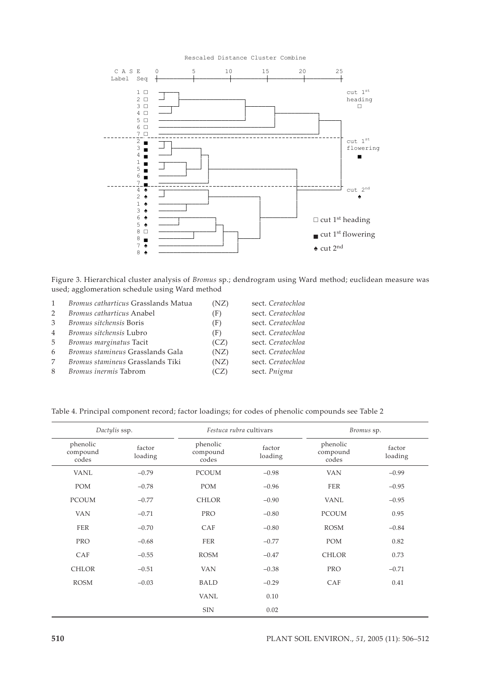

Figure 3. Hierarchical cluster analysis of Bromus sp.; dendrogram using Ward method; euclidean measure was used; agglomeration schedule using Ward method

| $\overline{1}$ | <i>Bromus catharticus Grasslands Matua</i> | (NZ) | sect. Ceratochloa |
|----------------|--------------------------------------------|------|-------------------|
| $\mathcal{L}$  | <i>Bromus catharticus Anabel</i>           | (F)  | sect. Ceratochloa |
| 3              | <i>Bromus sitchensis Boris</i>             | (F)  | sect. Ceratochloa |
| $\overline{4}$ | <i>Bromus sitchensis</i> Lubro             | (F)  | sect. Ceratochloa |
| -5             | Bromus marginatus Tacit                    | (CZ) | sect. Ceratochloa |
| 6              | Bromus stamineus Grasslands Gala           | (NZ) | sect. Ceratochloa |
| 7              | Bromus stamineus Grasslands Tiki           | (NZ) | sect. Ceratochloa |
| 8              | Bromus inermis Tabrom                      | (CZ) | sect. Pnigma      |
|                |                                            |      |                   |

Table 4. Principal component record; factor loadings; for codes of phenolic compounds see Table 2

| Dactylis ssp.                 |                   | Festuca rubra cultivars       |                   | Bromus sp.                    |                   |  |
|-------------------------------|-------------------|-------------------------------|-------------------|-------------------------------|-------------------|--|
| phenolic<br>compound<br>codes | factor<br>loading | phenolic<br>compound<br>codes | factor<br>loading | phenolic<br>compound<br>codes | factor<br>loading |  |
| <b>VANL</b>                   | $-0.79$           | <b>PCOUM</b>                  | $-0.98$           | <b>VAN</b>                    | $-0.99$           |  |
| POM                           | $-0.78$           | <b>POM</b>                    | $-0.96$           | FER                           | $-0.95$           |  |
| <b>PCOUM</b>                  | $-0.77$           | <b>CHLOR</b>                  | $-0.90$           | <b>VANL</b>                   | $-0.95$           |  |
| <b>VAN</b>                    | $-0.71$           | PRO                           | $-0.80$           | <b>PCOUM</b>                  | 0.95              |  |
| FER                           | $-0.70$           | CAF                           | $-0.80$           | <b>ROSM</b>                   | $-0.84$           |  |
| <b>PRO</b>                    | $-0.68$           | FER                           | $-0.77$           | POM                           | 0.82              |  |
| CAF                           | $-0.55$           | <b>ROSM</b>                   | $-0.47$           | <b>CHLOR</b>                  | 0.73              |  |
| <b>CHLOR</b>                  | $-0.51$           | <b>VAN</b>                    | $-0.38$           | <b>PRO</b>                    | $-0.71$           |  |
| <b>ROSM</b>                   | $-0.03$           | <b>BALD</b>                   | $-0.29$           | CAF                           | 0.41              |  |
|                               |                   | <b>VANL</b>                   | 0.10              |                               |                   |  |
|                               |                   | <b>SIN</b>                    | 0.02              |                               |                   |  |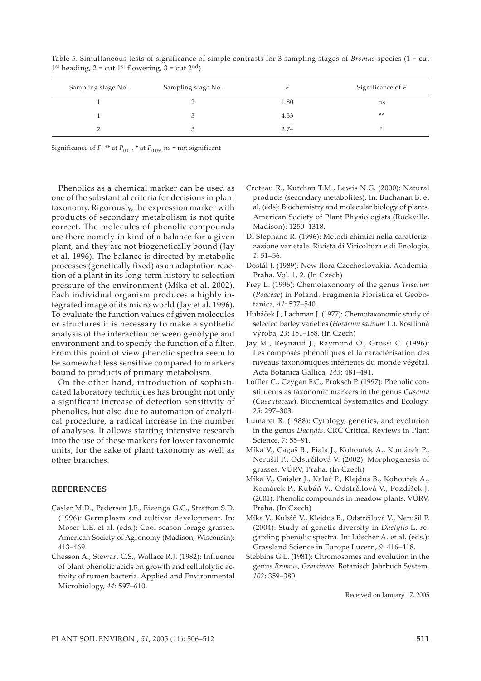| Sampling stage No. | Sampling stage No. |      | Significance of F |
|--------------------|--------------------|------|-------------------|
|                    |                    | 1.80 | ns                |
|                    |                    | 4.33 | **                |
|                    |                    | 2.74 |                   |

Table 5. Simultaneous tests of significance of simple contrasts for 3 sampling stages of *Bromus* species (1 = cut 1<sup>st</sup> heading, 2 = cut 1<sup>st</sup> flowering, 3 = cut 2<sup>nd</sup>)

Significance of *F*: \*\* at  $P_{0.01'}$  \* at  $P_{0.05'}$  ns = not significant

Phenolics as a chemical marker can be used as one of the substantial criteria for decisions in plant taxonomy. Rigorously, the expression marker with products of secondary metabolism is not quite correct. The molecules of phenolic compounds are there namely in kind of a balance for a given plant, and they are not biogenetically bound (Jay et al. 1996). The balance is directed by metabolic processes (genetically fixed) as an adaptation reaction of a plant in its long-term history to selection pressure of the environment (Míka et al. 2002). Each individual organism produces a highly integrated image of its micro world (Jay et al. 1996). To evaluate the function values of given molecules or structures it is necessary to make a synthetic analysis of the interaction between genotype and environment and to specify the function of a filter. From this point of view phenolic spectra seem to be somewhat less sensitive compared to markers bound to products of primary metabolism.

On the other hand, introduction of sophisticated laboratory techniques has brought not only a significant increase of detection sensitivity of phenolics, but also due to automation of analytical procedure, a radical increase in the number of analyses. It allows starting intensive research into the use of these markers for lower taxonomic units, for the sake of plant taxonomy as well as other branches.

#### **REFERENCES**

- Casler M.D., Pedersen J.F., Eizenga G.C., Stratton S.D. (1996): Germplasm and cultivar development. In: Moser L.E. et al. (eds.): Cool-season forage grasses. American Society of Agronomy (Madison, Wisconsin): 413–469.
- Chesson A., Stewart C.S., Wallace R.J. (1982): Influence of plant phenolic acids on growth and cellulolytic activity of rumen bacteria. Applied and Environmental Microbiology, *44*: 597–610.
- Croteau R., Kutchan T.M., Lewis N.G. (2000): Natural products (secondary metabolites). In: Buchanan B. et al. (eds): Biochemistry and molecular biology of plants. American Society of Plant Physiologists (Rockville, Madison): 1250–1318.
- Di Stephano R. (1996): Metodi chimici nella caratterizzazione varietale. Rivista di Viticoltura e di Enologia, *1*: 51–56.
- Dostál J. (1989): New flora Czechoslovakia. Academia, Praha. Vol. 1, 2. (In Czech)
- Frey L. (1996): Chemotaxonomy of the genus *Trisetum*  (*Poaceae*) in Poland. Fragmenta Floristica et Geobotanica, *41*: 537–540.
- Hubáček J., Lachman J. (1977): Chemotaxonomic study of selected barley varieties (*Hordeum sativum* L.). Rostlinná výroba, *23*: 151–158. (In Czech)
- Jay M., Reynaud J., Raymond O., Grossi C. (1996): Les composés phénoliques et la caractérisation des niveaus taxonomiques inférieurs du monde végétal. Acta Botanica Gallica, *143*: 481–491.
- Loffler C., Czygan F.C., Proksch P. (1997): Phenolic constituents as taxonomic markers in the genus *Cuscuta*  (*Cuscutaceae*). Biochemical Systematics and Ecology, *25*: 297–303.
- Lumaret R. (1988): Cytology, genetics, and evolution in the genus *Dactylis*. CRC Critical Reviews in Plant Science, *7*: 55–91.
- Míka V., Cagaš B., Fiala J., Kohoutek A., Komárek P., Nerušil P., Odstrčilová V. (2002): Morphogenesis of grasses. VÚRV, Praha. (In Czech)
- Míka V., Gaisler J., Kalač P., Klejdus B., Kohoutek A., Komárek P., Kubáň V., Odstrčilová V., Pozdíšek J. (2001): Phenolic compounds in meadow plants. VÚRV, Praha. (In Czech)
- Míka V., Kubáň V., Klejdus B., Odstrčilová V., Nerušil P. (2004): Study of genetic diversity in *Dactylis* L. regarding phenolic spectra. In: Lüscher A. et al. (eds.): Grassland Science in Europe Lucern, *9*: 416–418.
- Stebbins G.L. (1981): Chromosomes and evolution in the genus *Bromus*, *Gramineae*. Botanisch Jahrbuch System, *102*: 359–380.

Received on January 17, 2005